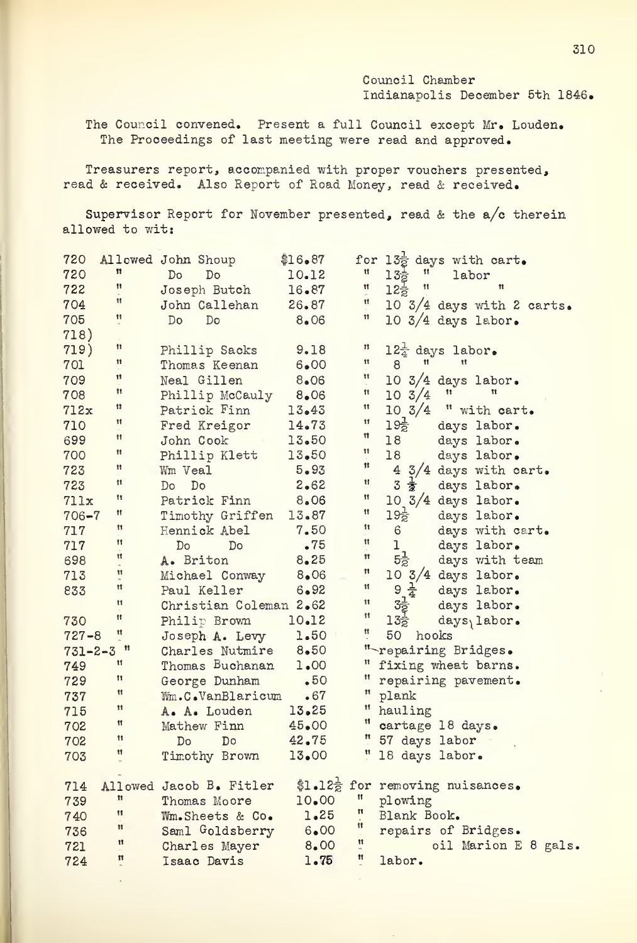Council Chamber Indianapolis December 5th 1846.

The Council convened. Present a full Council except Mr. Louden. The Proceedings of last meeting were read and approved.

Treasurers report, accompanied with proper vouchers presented, read & received. Also Report of Road Money, read & received.

Supervisor Report for November presented, read & the a/c therein allowed to wit:

| 720           | 11                   | Allowed John Shoup          | \$16.87  |                                        | for $13\frac{1}{2}$ days with cart.<br>" $13\frac{1}{2}$ " labor<br>" $12\frac{1}{2}$ " " |
|---------------|----------------------|-----------------------------|----------|----------------------------------------|-------------------------------------------------------------------------------------------|
| 720           | 11                   | Do<br>Do                    | 10.12    |                                        |                                                                                           |
| 722           | Ħ                    | Joseph Butch                | 16.87    | Ħ                                      |                                                                                           |
| 704           |                      | John Callehan               | 26.87    |                                        | 10 3/4 days with 2 carts.                                                                 |
| 705           | 11                   | Do<br>Do                    | 8.06     | 11                                     | $10\frac{3}{4}$ days labor.                                                               |
| 718)          |                      |                             |          |                                        |                                                                                           |
| 719)          | Ħ                    | Phillip Sacks               | 9.18     | Ħ                                      | 12 <sup>1</sup> days labor.                                                               |
| 701           | 11                   | Thomas Keenan               | 6.00     | 11                                     | $\pmb{\mathfrak{t}}$<br>11<br>8                                                           |
| 709           | Ħ                    | Neal Gillen                 | 8.06     | Ħ                                      | 10 $3/4$ days labor.                                                                      |
| 708           | Ħ                    | Phillip McCauly             | 8.06     | 11                                     | 11<br>11<br>$10 \frac{3}{4}$                                                              |
| 712x          | 11                   | Patrick Finn                | 13.43    | 11                                     | $10 \frac{3}{4}$<br>" with cart.                                                          |
| 710           | Ħ                    | Fred Kreigor                | 14.73    | $\pmb{\mathfrak{z}}\pmb{\mathfrak{z}}$ | $19\frac{1}{2}$<br>days labor.                                                            |
| 699           | Ħ                    | John Cook<br>$\sim 10^{11}$ | 13.50    | 11                                     | 18<br>days labor.                                                                         |
| 700           | Ħ                    | Phillip Klett               | 13.50    | 11                                     | 18<br>days labor.                                                                         |
| 723           | 11                   | Wm Veal                     | 5.93     | ${\bf 11}$                             | 4 3/4 days with cart.                                                                     |
| 723           | 11                   | Do<br>Do                    | 2.62     | Ħ                                      | 3 意<br>days labor.                                                                        |
| 711x          | Ħ                    | Patrick Finn                | 8.06     | 11                                     | $10\frac{3}{4}$ days labor.                                                               |
| $706 - 7$     | 11                   | Timothy Griffen             | 13.87    | Ħ                                      | $19\frac{1}{2}$<br>days labor.                                                            |
| 717           | Ħ                    | Hennick Abel                | 7.50     | 11                                     | $6 -$<br>days with cart.                                                                  |
| 717           | Ħ                    | Do<br>Do                    | .75      | 11                                     | ı<br>days labor.                                                                          |
| 698           | Ħ                    | A. Briton                   | $8 - 25$ | 11                                     | $5\frac{1}{2}$<br>days with team                                                          |
| 713           | Ħ                    | Michael Conway              | 8.06     | $\pmb{\mathfrak{m}}$                   | 10 $3/4$ days labor.                                                                      |
| 833           | Ħ                    | Paul Keller                 | 6.92     | Ħ                                      | $9\frac{1}{4}$<br>days labor.                                                             |
|               | 11                   | Christian Coleman 2.62      |          | 11                                     | $3\frac{1}{2}$<br>$13\frac{1}{2}$<br>days labor.                                          |
| 730           | Ħ                    | Philip Brown                | 10.12    | 11                                     | days <sub>labor.</sub>                                                                    |
| $727 - 8$     | Ħ                    | Joseph A. Levy              | 1.50     | Ħ                                      | 50<br>hooks                                                                               |
| $731 - 2 - 3$ | $^{\dagger}$         | Charles Nutmire             | $8 - 50$ |                                        | " repairing Bridges.                                                                      |
| 749           | Ħ                    | Thomas Buchanan             | 1.00     |                                        | " fixing wheat barns.                                                                     |
| 729           | 11                   | George Dunham               | .50      | $\mathbf{H}$                           | repairing pavement.                                                                       |
| 737           | 11                   | Wm.C.VanBlaricum            | • 67     | Ħ                                      | plank                                                                                     |
| 715           | 11                   | A. A. Louden                | 13.25    | Ħ                                      | hauling                                                                                   |
| 702           | Ħ                    | Mathew Finn                 | 45.00    | Ħ                                      | cartage 18 days.                                                                          |
| 702           | 11                   | Do<br>D <sub>o</sub>        | 42.75    |                                        | " 57 days labor                                                                           |
| 703           | 11                   | Timothy Brown               | 13.00    | $\mathbf{H}$                           | 18 days labor.                                                                            |
|               |                      |                             |          |                                        |                                                                                           |
| 714           |                      | Allowed Jacob B. Fitler     |          |                                        | \$1.12 $\frac{1}{2}$ for removing nuisances.                                              |
| 739           | ${\bf 11}$           | Thomas Moore                | 10.00    | $\mathbf{H}$                           | plowing                                                                                   |
| 740           | 11                   | Wm.Sheets & Co.             | 1.25     | $^{\bullet}$                           | Blank Book.                                                                               |
| 736           | $\pmb{\mathfrak{m}}$ | Saml Goldsberry             | 6.00     | $^{\rm{11}}$                           | repairs of Bridges.                                                                       |
| 721           | Ħ                    | Charles Mayer               | 8.00     | $\mathfrak n$                          | oil Marion E 8 gals.                                                                      |
| 724           | $\pmb{\mathfrak{m}}$ | Isaac Davis                 | 1.75     | Ħ                                      | labor.                                                                                    |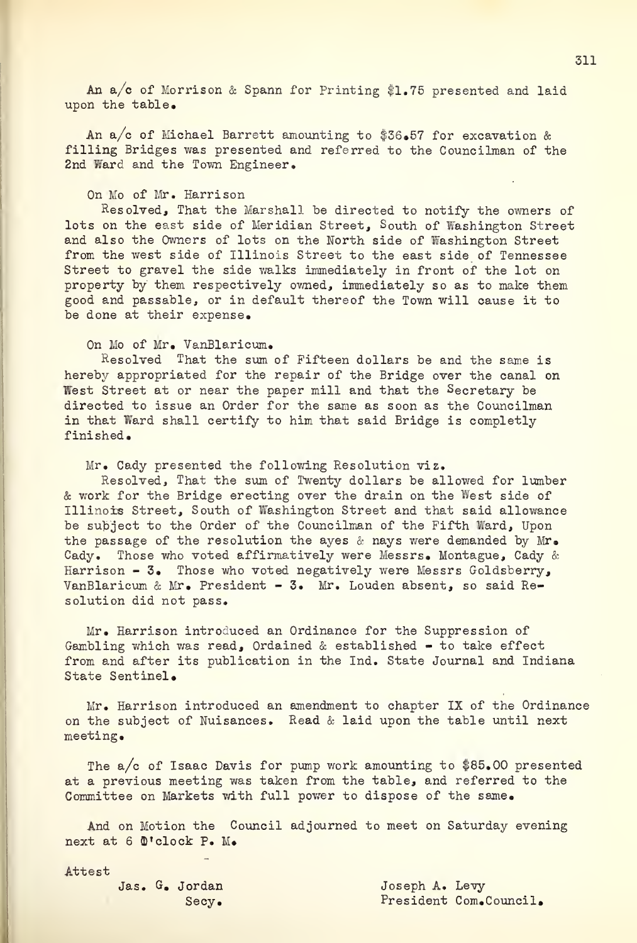An  $a/c$  of Morrison & Spann for Printing \$1.75 presented and laid upon the table.

An a/c of Michael Barrett amounting to \$36.57 for excavation & filling Bridges was presented and referred to the Councilman of the 2nd Ward and the Town Engineer.

## On Mo of Mr. Harrison

Resolved, That the Marshall be directed to notify the owners of lots on the east side of Meridian Street, South of Washington Street and also the Owners of lots on the North side of Washington Street from the west side of Illinois Street to the east side of Tennessee Street to gravel the side walks immediately in front of the lot on property by them respectively owned, immediately so as to make them good and passable, or in default thereof the Town will cause it to be done at their expense.

On Mo of Mr. VanBlaricum.

Resolved That the sum of Fifteen dollars be and the same is hereby appropriated for the repair of the Bridge over the canal on West Street at or near the paper mill and that the Secretary be directed to issue an Order for the same as soon as the Councilman in that Ward shall certify to him that said Bridge is completly finished.

Mr, Cady presented the following Resolution viz.

Resolved, That the sum of Twenty dollars be allowed for lumber & work for the Bridge erecting over the drain on the West side of Illinois Street, South of Washington Street and that said allowance be subject to the Order of the Councilman of the Fifth Ward, Upon the passage of the resolution the ayes & nays were demanded by  $Mr_{\bullet}$ Cady. Those who voted affirmatively were Messrs. Montague, Cady & Harrison - 3. Those who voted negatively were Messrs Goldsberry, VanBlaricum & Mr. President - 3. Mr. Louden absent, so said Resolution did not pass.

Mr. Harrison introduced an Ordinance for the Suppression of Gambling which was read, Ordained & established - to take effect from and after its publication in the Ind. State Journal and Indiana State Sentinel.

Mr. Harrison introduced an amendment to chapter IX of the Ordinance on the subject of Nuisances. Read & laid upon the table until next meeting.

The a/c of Isaac Davis for pump work amounting to \$85.00 presented at a previous meeting was taken from the table, and referred to the Committee on Markets with full power to dispose of the same.

And on Motion the Council adjourned to meet on Saturday evening next at 6 O'clock P. M.

Attest

Jas. G. Jordan Joseph A. Levy Secy. President Com.Council.